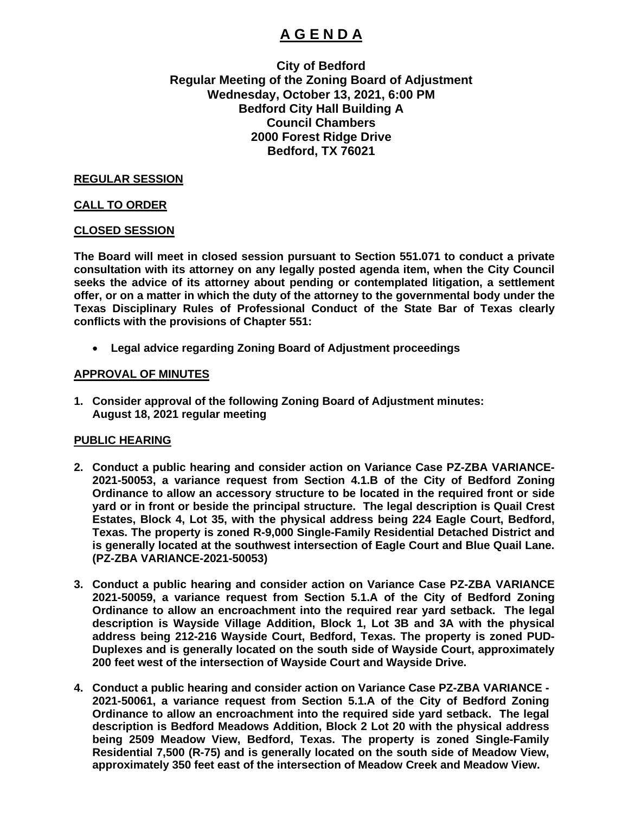# **A G E N D A**

## **City of Bedford Regular Meeting of the Zoning Board of Adjustment Wednesday, October 13, 2021, 6:00 PM Bedford City Hall Building A Council Chambers 2000 Forest Ridge Drive Bedford, TX 76021**

#### **REGULAR SESSION**

#### **CALL TO ORDER**

#### **CLOSED SESSION**

**The Board will meet in closed session pursuant to Section 551.071 to conduct a private consultation with its attorney on any legally posted agenda item, when the City Council seeks the advice of its attorney about pending or contemplated litigation, a settlement offer, or on a matter in which the duty of the attorney to the governmental body under the Texas Disciplinary Rules of Professional Conduct of the State Bar of Texas clearly conflicts with the provisions of Chapter 551:** 

• **Legal advice regarding Zoning Board of Adjustment proceedings**

#### **APPROVAL OF MINUTES**

**1. Consider approval of the following Zoning Board of Adjustment minutes: August 18, 2021 regular meeting** 

#### **PUBLIC HEARING**

- **2. Conduct a public hearing and consider action on Variance Case PZ-ZBA VARIANCE-2021-50053, a variance request from Section 4.1.B of the City of Bedford Zoning Ordinance to allow an accessory structure to be located in the required front or side yard or in front or beside the principal structure. The legal description is Quail Crest Estates, Block 4, Lot 35, with the physical address being 224 Eagle Court, Bedford, Texas. The property is zoned R-9,000 Single-Family Residential Detached District and is generally located at the southwest intersection of Eagle Court and Blue Quail Lane. (PZ-ZBA VARIANCE-2021-50053)**
- **3. Conduct a public hearing and consider action on Variance Case PZ-ZBA VARIANCE 2021-50059, a variance request from Section 5.1.A of the City of Bedford Zoning Ordinance to allow an encroachment into the required rear yard setback. The legal description is Wayside Village Addition, Block 1, Lot 3B and 3A with the physical address being 212-216 Wayside Court, Bedford, Texas. The property is zoned PUD-Duplexes and is generally located on the south side of Wayside Court, approximately 200 feet west of the intersection of Wayside Court and Wayside Drive.**
- **4. Conduct a public hearing and consider action on Variance Case PZ-ZBA VARIANCE - 2021-50061, a variance request from Section 5.1.A of the City of Bedford Zoning Ordinance to allow an encroachment into the required side yard setback. The legal description is Bedford Meadows Addition, Block 2 Lot 20 with the physical address being 2509 Meadow View, Bedford, Texas. The property is zoned Single-Family Residential 7,500 (R-75) and is generally located on the south side of Meadow View, approximately 350 feet east of the intersection of Meadow Creek and Meadow View.**